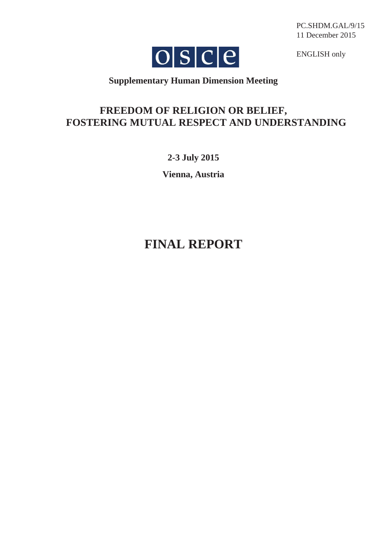PC.SHDM.GAL/9/15 11 December 2015



ENGLISH only

# **Supplementary Human Dimension Meeting**

# **FREEDOM OF RELIGION OR BELIEF, FOSTERING MUTUAL RESPECT AND UNDERSTANDING**

**2-3 July 2015**

**Vienna, Austria**

# **FINAL REPORT**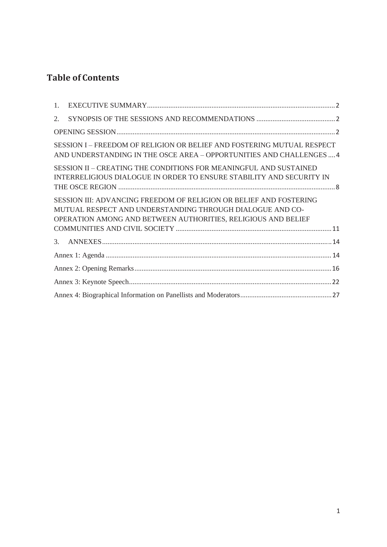# **Table of Contents**

| 1.                                                                                                                                        |                                                                                                                                                                                                  |  |  |
|-------------------------------------------------------------------------------------------------------------------------------------------|--------------------------------------------------------------------------------------------------------------------------------------------------------------------------------------------------|--|--|
| 2.                                                                                                                                        |                                                                                                                                                                                                  |  |  |
|                                                                                                                                           |                                                                                                                                                                                                  |  |  |
|                                                                                                                                           | SESSION I - FREEDOM OF RELIGION OR BELIEF AND FOSTERING MUTUAL RESPECT<br>AND UNDERSTANDING IN THE OSCE AREA - OPPORTUNITIES AND CHALLENGES  4                                                   |  |  |
| SESSION II - CREATING THE CONDITIONS FOR MEANINGFUL AND SUSTAINED<br>INTERRELIGIOUS DIALOGUE IN ORDER TO ENSURE STABILITY AND SECURITY IN |                                                                                                                                                                                                  |  |  |
|                                                                                                                                           | SESSION III: ADVANCING FREEDOM OF RELIGION OR BELIEF AND FOSTERING<br>MUTUAL RESPECT AND UNDERSTANDING THROUGH DIALOGUE AND CO-<br>OPERATION AMONG AND BETWEEN AUTHORITIES, RELIGIOUS AND BELIEF |  |  |
|                                                                                                                                           |                                                                                                                                                                                                  |  |  |
| 3.                                                                                                                                        |                                                                                                                                                                                                  |  |  |
|                                                                                                                                           |                                                                                                                                                                                                  |  |  |
|                                                                                                                                           |                                                                                                                                                                                                  |  |  |
|                                                                                                                                           |                                                                                                                                                                                                  |  |  |
|                                                                                                                                           |                                                                                                                                                                                                  |  |  |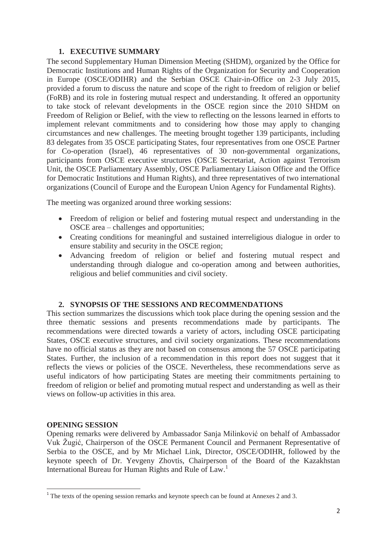# **1. EXECUTIVE SUMMARY**

The second Supplementary Human Dimension Meeting (SHDM), organized by the Office for Democratic Institutions and Human Rights of the Organization for Security and Cooperation in Europe (OSCE/ODIHR) and the Serbian OSCE Chair-in-Office on 2-3 July 2015, provided a forum to discuss the nature and scope of the right to freedom of religion or belief (FoRB) and its role in fostering mutual respect and understanding. It offered an opportunity to take stock of relevant developments in the OSCE region since the 2010 SHDM on Freedom of Religion or Belief, with the view to reflecting on the lessons learned in efforts to implement relevant commitments and to considering how those may apply to changing circumstances and new challenges. The meeting brought together 139 participants, including 83 delegates from 35 OSCE participating States, four representatives from one OSCE Partner for Co-operation (Israel), 46 representatives of 30 non-governmental organizations, participants from OSCE executive structures (OSCE Secretariat, Action against Terrorism Unit, the OSCE Parliamentary Assembly, OSCE Parliamentary Liaison Office and the Office for Democratic Institutions and Human Rights), and three representatives of two international organizations (Council of Europe and the European Union Agency for Fundamental Rights).

The meeting was organized around three working sessions:

- Freedom of religion or belief and fostering mutual respect and understanding in the OSCE area – challenges and opportunities;
- Creating conditions for meaningful and sustained interreligious dialogue in order to ensure stability and security in the OSCE region;
- x Advancing freedom of religion or belief and fostering mutual respect and understanding through dialogue and co-operation among and between authorities, religious and belief communities and civil society.

# **2. SYNOPSIS OF THE SESSIONS AND RECOMMENDATIONS**

This section summarizes the discussions which took place during the opening session and the three thematic sessions and presents recommendations made by participants. The recommendations were directed towards a variety of actors, including OSCE participating States, OSCE executive structures, and civil society organizations. These recommendations have no official status as they are not based on consensus among the 57 OSCE participating States. Further, the inclusion of a recommendation in this report does not suggest that it reflects the views or policies of the OSCE. Nevertheless, these recommendations serve as useful indicators of how participating States are meeting their commitments pertaining to freedom of religion or belief and promoting mutual respect and understanding as well as their views on follow-up activities in this area.

# **OPENING SESSION**

Opening remarks were delivered by Ambassador Sanja Milinković on behalf of Ambassador Vuk Žugić, Chairperson of the OSCE Permanent Council and Permanent Representative of Serbia to the OSCE, and by Mr Michael Link, Director, OSCE/ODIHR, followed by the keynote speech of Dr. Yevgeny Zhovtis, Chairperson of the Board of the Kazakhstan International Bureau for Human Rights and Rule of Law.<sup>1</sup>

<sup>-</sup> $1$ <sup>1</sup> The texts of the opening session remarks and keynote speech can be found at Annexes 2 and 3.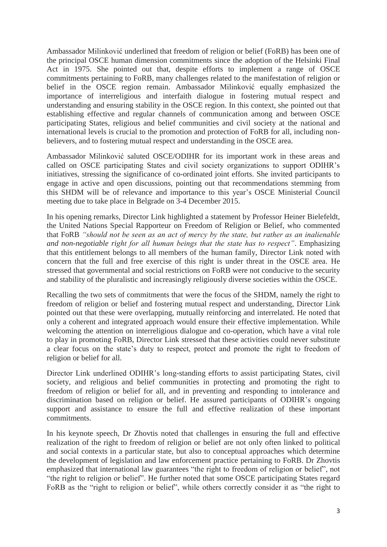Ambassador Milinković underlined that freedom of religion or belief (FoRB) has been one of the principal OSCE human dimension commitments since the adoption of the Helsinki Final Act in 1975. She pointed out that, despite efforts to implement a range of OSCE commitments pertaining to FoRB, many challenges related to the manifestation of religion or belief in the OSCE region remain. Ambassador Milinković equally emphasized the importance of interreligious and interfaith dialogue in fostering mutual respect and understanding and ensuring stability in the OSCE region. In this context, she pointed out that establishing effective and regular channels of communication among and between OSCE participating States, religious and belief communities and civil society at the national and international levels is crucial to the promotion and protection of FoRB for all, including nonbelievers, and to fostering mutual respect and understanding in the OSCE area.

Ambassador Milinković saluted OSCE/ODIHR for its important work in these areas and called on OSCE participating States and civil society organizations to support ODIHR's initiatives, stressing the significance of co-ordinated joint efforts. She invited participants to engage in active and open discussions, pointing out that recommendations stemming from this SHDM will be of relevance and importance to this year's OSCE Ministerial Council meeting due to take place in Belgrade on 3-4 December 2015.

In his opening remarks, Director Link highlighted a statement by Professor Heiner Bielefeldt, the United Nations Special Rapporteur on Freedom of Religion or Belief, who commented that FoRB *"should not be seen as an act of mercy by the state, but rather as an inalienable and non-negotiable right for all human beings that the state has to respect"*. Emphasizing that this entitlement belongs to all members of the human family, Director Link noted with concern that the full and free exercise of this right is under threat in the OSCE area. He stressed that governmental and social restrictions on FoRB were not conducive to the security and stability of the pluralistic and increasingly religiously diverse societies within the OSCE.

Recalling the two sets of commitments that were the focus of the SHDM, namely the right to freedom of religion or belief and fostering mutual respect and understanding, Director Link pointed out that these were overlapping, mutually reinforcing and interrelated. He noted that only a coherent and integrated approach would ensure their effective implementation. While welcoming the attention on interreligious dialogue and co-operation, which have a vital role to play in promoting FoRB, Director Link stressed that these activities could never substitute a clear focus on the state's duty to respect, protect and promote the right to freedom of religion or belief for all.

Director Link underlined ODIHR's long-standing efforts to assist participating States, civil society, and religious and belief communities in protecting and promoting the right to freedom of religion or belief for all, and in preventing and responding to intolerance and discrimination based on religion or belief. He assured participants of ODIHR's ongoing support and assistance to ensure the full and effective realization of these important commitments.

In his keynote speech, Dr Zhovtis noted that challenges in ensuring the full and effective realization of the right to freedom of religion or belief are not only often linked to political and social contexts in a particular state, but also to conceptual approaches which determine the development of legislation and law enforcement practice pertaining to FoRB. Dr Zhovtis emphasized that international law guarantees "the right to freedom of religion or belief", not "the right to religion or belief". He further noted that some OSCE participating States regard FoRB as the "right to religion or belief", while others correctly consider it as "the right to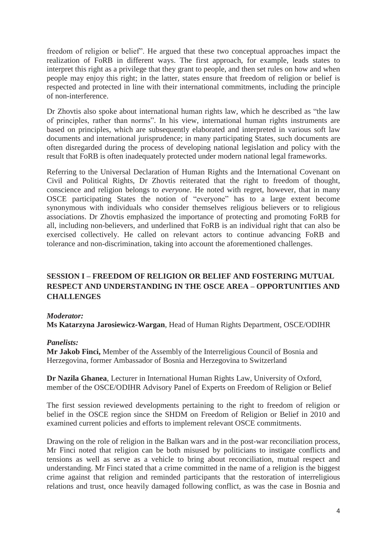freedom of religion or belief". He argued that these two conceptual approaches impact the realization of FoRB in different ways. The first approach, for example, leads states to interpret this right as a privilege that they grant to people, and then set rules on how and when people may enjoy this right; in the latter, states ensure that freedom of religion or belief is respected and protected in line with their international commitments, including the principle of non-interference.

Dr Zhovtis also spoke about international human rights law, which he described as "the law of principles, rather than norms". In his view, international human rights instruments are based on principles, which are subsequently elaborated and interpreted in various soft law documents and international jurisprudence; in many participating States, such documents are often disregarded during the process of developing national legislation and policy with the result that FoRB is often inadequately protected under modern national legal frameworks.

Referring to the Universal Declaration of Human Rights and the International Covenant on Civil and Political Rights, Dr Zhovtis reiterated that the right to freedom of thought, conscience and religion belongs to *everyone*. He noted with regret, however, that in many OSCE participating States the notion of "everyone" has to a large extent become synonymous with individuals who consider themselves religious believers or to religious associations. Dr Zhovtis emphasized the importance of protecting and promoting FoRB for all, including non-believers, and underlined that FoRB is an individual right that can also be exercised collectively. He called on relevant actors to continue advancing FoRB and tolerance and non-discrimination, taking into account the aforementioned challenges.

# **SESSION I – FREEDOM OF RELIGION OR BELIEF AND FOSTERING MUTUAL RESPECT AND UNDERSTANDING IN THE OSCE AREA – OPPORTUNITIES AND CHALLENGES**

#### *Moderator:*

**Ms Katarzyna Jarosiewicz-Wargan**, Head of Human Rights Department, OSCE/ODIHR

#### *Panelists:*

**Mr Jakob Finci,** Member of the Assembly of the Interreligious Council of Bosnia and Herzegovina, former Ambassador of Bosnia and Herzegovina to Switzerland

**Dr Nazila Ghanea**, Lecturer in International Human Rights Law, University of Oxford, member of the OSCE/ODIHR Advisory Panel of Experts on Freedom of Religion or Belief

The first session reviewed developments pertaining to the right to freedom of religion or belief in the OSCE region since the SHDM on Freedom of Religion or Belief in 2010 and examined current policies and efforts to implement relevant OSCE commitments.

Drawing on the role of religion in the Balkan wars and in the post-war reconciliation process, Mr Finci noted that religion can be both misused by politicians to instigate conflicts and tensions as well as serve as a vehicle to bring about reconciliation, mutual respect and understanding. Mr Finci stated that a crime committed in the name of a religion is the biggest crime against that religion and reminded participants that the restoration of interreligious relations and trust, once heavily damaged following conflict, as was the case in Bosnia and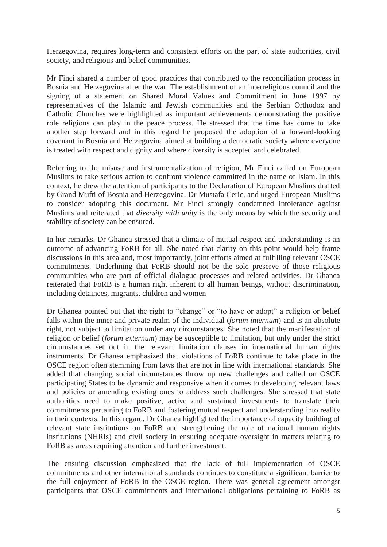Herzegovina, requires long-term and consistent efforts on the part of state authorities, civil society, and religious and belief communities.

Mr Finci shared a number of good practices that contributed to the reconciliation process in Bosnia and Herzegovina after the war. The establishment of an interreligious council and the signing of a statement on Shared Moral Values and Commitment in June 1997 by representatives of the Islamic and Jewish communities and the Serbian Orthodox and Catholic Churches were highlighted as important achievements demonstrating the positive role religions can play in the peace process. He stressed that the time has come to take another step forward and in this regard he proposed the adoption of a forward-looking covenant in Bosnia and Herzegovina aimed at building a democratic society where everyone is treated with respect and dignity and where diversity is accepted and celebrated.

Referring to the misuse and instrumentalization of religion, Mr Finci called on European Muslims to take serious action to confront violence committed in the name of Islam. In this context, he drew the attention of participants to the Declaration of European Muslims drafted by Grand Mufti of Bosnia and Herzegovina, Dr Mustafa Ceric, and urged European Muslims to consider adopting this document. Mr Finci strongly condemned intolerance against Muslims and reiterated that *diversity with unity* is the only means by which the security and stability of society can be ensured.

In her remarks, Dr Ghanea stressed that a climate of mutual respect and understanding is an outcome of advancing FoRB for all. She noted that clarity on this point would help frame discussions in this area and, most importantly, joint efforts aimed at fulfilling relevant OSCE commitments. Underlining that FoRB should not be the sole preserve of those religious communities who are part of official dialogue processes and related activities, Dr Ghanea reiterated that FoRB is a human right inherent to all human beings, without discrimination, including detainees, migrants, children and women

Dr Ghanea pointed out that the right to "change" or "to have or adopt" a religion or belief falls within the inner and private realm of the individual (*forum internum*) and is an absolute right, not subject to limitation under any circumstances. She noted that the manifestation of religion or belief (*forum externum*) may be susceptible to limitation, but only under the strict circumstances set out in the relevant limitation clauses in international human rights instruments. Dr Ghanea emphasized that violations of FoRB continue to take place in the OSCE region often stemming from laws that are not in line with international standards. She added that changing social circumstances throw up new challenges and called on OSCE participating States to be dynamic and responsive when it comes to developing relevant laws and policies or amending existing ones to address such challenges. She stressed that state authorities need to make positive, active and sustained investments to translate their commitments pertaining to FoRB and fostering mutual respect and understanding into reality in their contexts. In this regard, Dr Ghanea highlighted the importance of capacity building of relevant state institutions on FoRB and strengthening the role of national human rights institutions (NHRIs) and civil society in ensuring adequate oversight in matters relating to FoRB as areas requiring attention and further investment.

The ensuing discussion emphasized that the lack of full implementation of OSCE commitments and other international standards continues to constitute a significant barrier to the full enjoyment of FoRB in the OSCE region. There was general agreement amongst participants that OSCE commitments and international obligations pertaining to FoRB as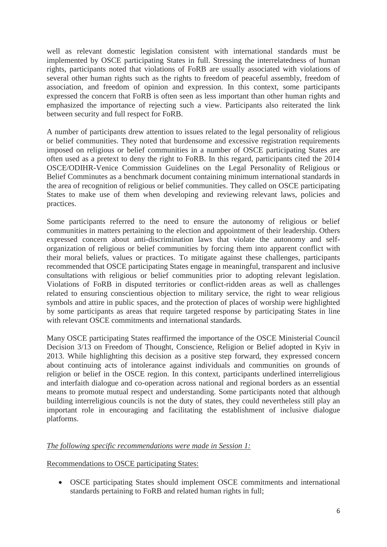well as relevant domestic legislation consistent with international standards must be implemented by OSCE participating States in full. Stressing the interrelatedness of human rights, participants noted that violations of FoRB are usually associated with violations of several other human rights such as the rights to freedom of peaceful assembly, freedom of association, and freedom of opinion and expression. In this context, some participants expressed the concern that FoRB is often seen as less important than other human rights and emphasized the importance of rejecting such a view. Participants also reiterated the link between security and full respect for FoRB.

A number of participants drew attention to issues related to the legal personality of religious or belief communities. They noted that burdensome and excessive registration requirements imposed on religious or belief communities in a number of OSCE participating States are often used as a pretext to deny the right to FoRB. In this regard, participants cited the 2014 OSCE/ODIHR-Venice Commission Guidelines on the Legal Personality of Religious or Belief Comminutes as a benchmark document containing minimum international standards in the area of recognition of religious or belief communities. They called on OSCE participating States to make use of them when developing and reviewing relevant laws, policies and practices.

Some participants referred to the need to ensure the autonomy of religious or belief communities in matters pertaining to the election and appointment of their leadership. Others expressed concern about anti-discrimination laws that violate the autonomy and selforganization of religious or belief communities by forcing them into apparent conflict with their moral beliefs, values or practices. To mitigate against these challenges, participants recommended that OSCE participating States engage in meaningful, transparent and inclusive consultations with religious or belief communities prior to adopting relevant legislation. Violations of FoRB in disputed territories or conflict-ridden areas as well as challenges related to ensuring conscientious objection to military service, the right to wear religious symbols and attire in public spaces, and the protection of places of worship were highlighted by some participants as areas that require targeted response by participating States in line with relevant OSCE commitments and international standards.

Many OSCE participating States reaffirmed the importance of the OSCE Ministerial Council Decision 3/13 on Freedom of Thought, Conscience, Religion or Belief adopted in Kyiv in 2013. While highlighting this decision as a positive step forward, they expressed concern about continuing acts of intolerance against individuals and communities on grounds of religion or belief in the OSCE region. In this context, participants underlined interreligious and interfaith dialogue and co-operation across national and regional borders as an essential means to promote mutual respect and understanding. Some participants noted that although building interreligious councils is not the duty of states, they could nevertheless still play an important role in encouraging and facilitating the establishment of inclusive dialogue platforms.

# *The following specific recommendations were made in Session 1:*

#### Recommendations to OSCE participating States:

• OSCE participating States should implement OSCE commitments and international standards pertaining to FoRB and related human rights in full;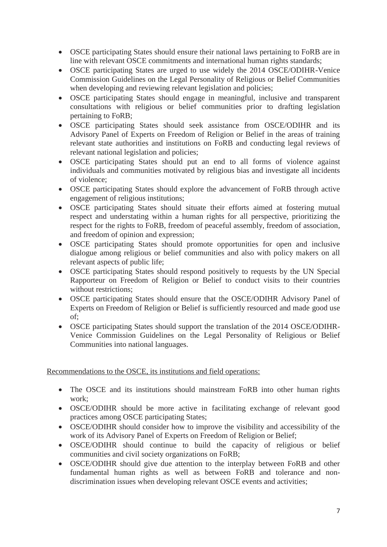- OSCE participating States should ensure their national laws pertaining to FoRB are in line with relevant OSCE commitments and international human rights standards;
- OSCE participating States are urged to use widely the 2014 OSCE/ODIHR-Venice Commission Guidelines on the Legal Personality of Religious or Belief Communities when developing and reviewing relevant legislation and policies;
- OSCE participating States should engage in meaningful, inclusive and transparent consultations with religious or belief communities prior to drafting legislation pertaining to FoRB;
- OSCE participating States should seek assistance from OSCE/ODIHR and its Advisory Panel of Experts on Freedom of Religion or Belief in the areas of training relevant state authorities and institutions on FoRB and conducting legal reviews of relevant national legislation and policies;
- OSCE participating States should put an end to all forms of violence against individuals and communities motivated by religious bias and investigate all incidents of violence;
- OSCE participating States should explore the advancement of FoRB through active engagement of religious institutions;
- OSCE participating States should situate their efforts aimed at fostering mutual respect and understating within a human rights for all perspective, prioritizing the respect for the rights to FoRB, freedom of peaceful assembly, freedom of association, and freedom of opinion and expression;
- OSCE participating States should promote opportunities for open and inclusive dialogue among religious or belief communities and also with policy makers on all relevant aspects of public life;
- OSCE participating States should respond positively to requests by the UN Special Rapporteur on Freedom of Religion or Belief to conduct visits to their countries without restrictions;
- OSCE participating States should ensure that the OSCE/ODIHR Advisory Panel of Experts on Freedom of Religion or Belief is sufficiently resourced and made good use of;
- OSCE participating States should support the translation of the 2014 OSCE/ODIHR-Venice Commission Guidelines on the Legal Personality of Religious or Belief Communities into national languages.

Recommendations to the OSCE, its institutions and field operations:

- The OSCE and its institutions should mainstream FoRB into other human rights work;
- OSCE/ODIHR should be more active in facilitating exchange of relevant good practices among OSCE participating States;
- OSCE/ODIHR should consider how to improve the visibility and accessibility of the work of its Advisory Panel of Experts on Freedom of Religion or Belief;
- OSCE/ODIHR should continue to build the capacity of religious or belief communities and civil society organizations on FoRB;
- OSCE/ODIHR should give due attention to the interplay between FoRB and other fundamental human rights as well as between FoRB and tolerance and nondiscrimination issues when developing relevant OSCE events and activities;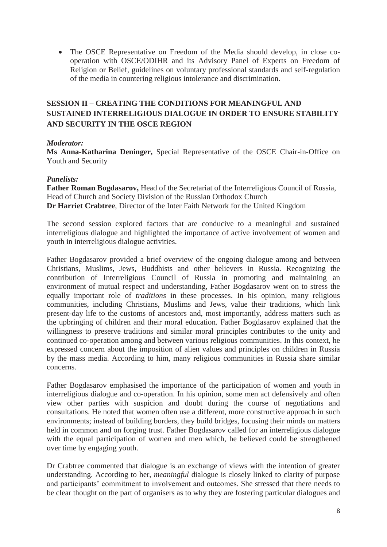• The OSCE Representative on Freedom of the Media should develop, in close cooperation with OSCE/ODIHR and its Advisory Panel of Experts on Freedom of Religion or Belief, guidelines on voluntary professional standards and self-regulation of the media in countering religious intolerance and discrimination.

# **SESSION II – CREATING THE CONDITIONS FOR MEANINGFUL AND SUSTAINED INTERRELIGIOUS DIALOGUE IN ORDER TO ENSURE STABILITY AND SECURITY IN THE OSCE REGION**

# *Moderator:*

**Ms Anna-Katharina Deninger,** Special Representative of the OSCE Chair-in-Office on Youth and Security

### *Panelists:*

**Father Roman Bogdasarov,** Head of the Secretariat of the Interreligious Council of Russia, Head of Church and Society Division of the Russian Orthodox Church **Dr Harriet Crabtree**, Director of the Inter Faith Network for the United Kingdom

The second session explored factors that are conducive to a meaningful and sustained interreligious dialogue and highlighted the importance of active involvement of women and youth in interreligious dialogue activities.

Father Bogdasarov provided a brief overview of the ongoing dialogue among and between Christians, Muslims, Jews, Buddhists and other believers in Russia. Recognizing the contribution of Interreligious Council of Russia in promoting and maintaining an environment of mutual respect and understanding, Father Bogdasarov went on to stress the equally important role of *traditions* in these processes. In his opinion, many religious communities, including Christians, Muslims and Jews, value their traditions, which link present-day life to the customs of ancestors and, most importantly, address matters such as the upbringing of children and their moral education. Father Bogdasarov explained that the willingness to preserve traditions and similar moral principles contributes to the unity and continued co-operation among and between various religious communities. In this context, he expressed concern about the imposition of alien values and principles on children in Russia by the mass media. According to him, many religious communities in Russia share similar concerns.

Father Bogdasarov emphasised the importance of the participation of women and youth in interreligious dialogue and co-operation. In his opinion, some men act defensively and often view other parties with suspicion and doubt during the course of negotiations and consultations. He noted that women often use a different, more constructive approach in such environments; instead of building borders, they build bridges, focusing their minds on matters held in common and on forging trust. Father Bogdasarov called for an interreligious dialogue with the equal participation of women and men which, he believed could be strengthened over time by engaging youth.

Dr Crabtree commented that dialogue is an exchange of views with the intention of greater understanding. According to her, *meaningful* dialogue is closely linked to clarity of purpose and participants' commitment to involvement and outcomes. She stressed that there needs to be clear thought on the part of organisers as to why they are fostering particular dialogues and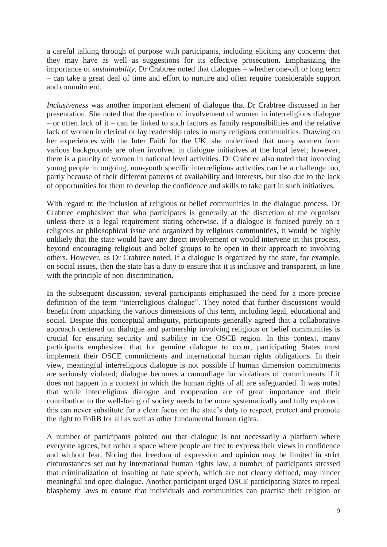a careful talking through of purpose with participants, including eliciting any concerns that they may have as well as suggestions for its effective prosecution. Emphasizing the importance of *sustainability*, Dr Crabtree noted that dialogues – whether one-off or long term – can take a great deal of time and effort to nurture and often require considerable support and commitment.

*Inclusiveness* was another important element of dialogue that Dr Crabtree discussed in her presentation. She noted that the question of involvement of women in interreligious dialogue – or often lack of it – can be linked to such factors as family responsibilities and the relative lack of women in clerical or lay readership roles in many religious communities. Drawing on her experiences with the Inter Faith for the UK, she underlined that many women from various backgrounds are often involved in dialogue initiatives at the local level; however, there is a paucity of women in national level activities. Dr Crabtree also noted that involving young people in ongoing, non-youth specific interreligious activities can be a challenge too, partly because of their different patterns of availability and interests, but also due to the lack of opportunities for them to develop the confidence and skills to take part in such initiatives.

With regard to the inclusion of religious or belief communities in the dialogue process, Dr Crabtree emphasized that who participates is generally at the discretion of the organiser unless there is a legal requirement stating otherwise. If a dialogue is focused purely on a religious or philosophical issue and organized by religious communities, it would be highly unlikely that the state would have any direct involvement or would intervene in this process, beyond encouraging religious and belief groups to be open in their approach to involving others. However, as Dr Crabtree noted, if a dialogue is organized by the state, for example, on social issues, then the state has a duty to ensure that it is inclusive and transparent, in line with the principle of non-discrimination.

In the subsequent discussion, several participants emphasized the need for a more precise definition of the term "interreligious dialogue". They noted that further discussions would benefit from unpacking the various dimensions of this term, including legal, educational and social. Despite this conceptual ambiguity, participants generally agreed that a collaborative approach centered on dialogue and partnership involving religious or belief communities is crucial for ensuring security and stability in the OSCE region. In this context, many participants emphasized that for genuine dialogue to occur, participating States must implement their OSCE commitments and international human rights obligations. In their view, meaningful interreligious dialogue is not possible if human dimension commitments are seriously violated; dialogue becomes a camouflage for violations of commitments if it does not happen in a context in which the human rights of all are safeguarded. It was noted that while interreligious dialogue and cooperation are of great importance and their contribution to the well-being of society needs to be more systematically and fully explored, this can never substitute for a clear focus on the state's duty to respect, protect and promote the right to FoRB for all as well as other fundamental human rights.

A number of participants pointed out that dialogue is not necessarily a platform where everyone agrees, but rather a space where people are free to express their views in confidence and without fear. Noting that freedom of expression and opinion may be limited in strict circumstances set out by international human rights law, a number of participants stressed that criminalization of insulting or hate speech, which are not clearly defined, may hinder meaningful and open dialogue. Another participant urged OSCE participating States to repeal blasphemy laws to ensure that individuals and communities can practise their religion or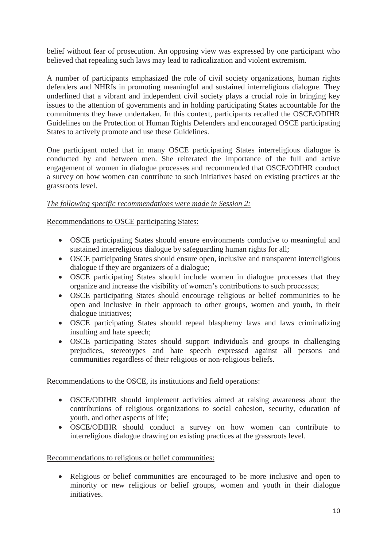belief without fear of prosecution. An opposing view was expressed by one participant who believed that repealing such laws may lead to radicalization and violent extremism.

A number of participants emphasized the role of civil society organizations, human rights defenders and NHRIs in promoting meaningful and sustained interreligious dialogue. They underlined that a vibrant and independent civil society plays a crucial role in bringing key issues to the attention of governments and in holding participating States accountable for the commitments they have undertaken. In this context, participants recalled the OSCE/ODIHR Guidelines on the Protection of Human Rights Defenders and encouraged OSCE participating States to actively promote and use these Guidelines.

One participant noted that in many OSCE participating States interreligious dialogue is conducted by and between men. She reiterated the importance of the full and active engagement of women in dialogue processes and recommended that OSCE/ODIHR conduct a survey on how women can contribute to such initiatives based on existing practices at the grassroots level.

# *The following specific recommendations were made in Session 2:*

# Recommendations to OSCE participating States:

- OSCE participating States should ensure environments conducive to meaningful and sustained interreligious dialogue by safeguarding human rights for all;
- OSCE participating States should ensure open, inclusive and transparent interreligious dialogue if they are organizers of a dialogue;
- OSCE participating States should include women in dialogue processes that they organize and increase the visibility of women's contributions to such processes;
- OSCE participating States should encourage religious or belief communities to be open and inclusive in their approach to other groups, women and youth, in their dialogue initiatives;
- OSCE participating States should repeal blasphemy laws and laws criminalizing insulting and hate speech;
- OSCE participating States should support individuals and groups in challenging prejudices, stereotypes and hate speech expressed against all persons and communities regardless of their religious or non-religious beliefs.

Recommendations to the OSCE, its institutions and field operations:

- OSCE/ODIHR should implement activities aimed at raising awareness about the contributions of religious organizations to social cohesion, security, education of youth, and other aspects of life;
- OSCE/ODIHR should conduct a survey on how women can contribute to interreligious dialogue drawing on existing practices at the grassroots level.

# Recommendations to religious or belief communities:

• Religious or belief communities are encouraged to be more inclusive and open to minority or new religious or belief groups, women and youth in their dialogue initiatives.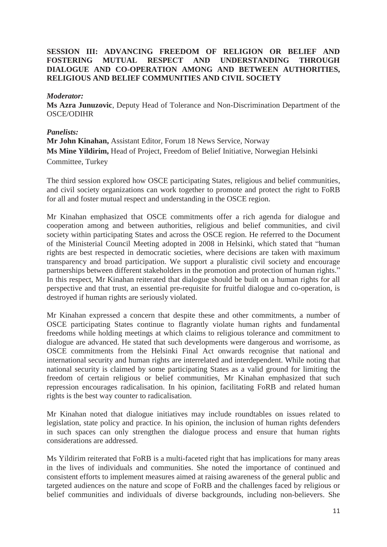# **SESSION III: ADVANCING FREEDOM OF RELIGION OR BELIEF AND FOSTERING MUTUAL RESPECT AND UNDERSTANDING THROUGH DIALOGUE AND CO-OPERATION AMONG AND BETWEEN AUTHORITIES, RELIGIOUS AND BELIEF COMMUNITIES AND CIVIL SOCIETY**

#### *Moderator:*

**Ms Azra Junuzovic**, Deputy Head of Tolerance and Non-Discrimination Department of the OSCE/ODIHR

#### *Panelists:*

**Mr John Kinahan,** Assistant Editor, Forum 18 News Service, Norway **Ms Mine Yildirim,** Head of Project, Freedom of Belief Initiative, Norwegian Helsinki Committee, Turkey

The third session explored how OSCE participating States, religious and belief communities, and civil society organizations can work together to promote and protect the right to FoRB for all and foster mutual respect and understanding in the OSCE region.

Mr Kinahan emphasized that OSCE commitments offer a rich agenda for dialogue and cooperation among and between authorities, religious and belief communities, and civil society within participating States and across the OSCE region. He referred to the Document of the Ministerial Council Meeting adopted in 2008 in Helsinki, which stated that "human rights are best respected in democratic societies, where decisions are taken with maximum transparency and broad participation. We support a pluralistic civil society and encourage partnerships between different stakeholders in the promotion and protection of human rights." In this respect, Mr Kinahan reiterated that dialogue should be built on a human rights for all perspective and that trust, an essential pre-requisite for fruitful dialogue and co-operation, is destroyed if human rights are seriously violated.

Mr Kinahan expressed a concern that despite these and other commitments, a number of OSCE participating States continue to flagrantly violate human rights and fundamental freedoms while holding meetings at which claims to religious tolerance and commitment to dialogue are advanced. He stated that such developments were dangerous and worrisome, as OSCE commitments from the Helsinki Final Act onwards recognise that national and international security and human rights are interrelated and interdependent. While noting that national security is claimed by some participating States as a valid ground for limiting the freedom of certain religious or belief communities, Mr Kinahan emphasized that such repression encourages radicalisation. In his opinion, facilitating FoRB and related human rights is the best way counter to radicalisation.

Mr Kinahan noted that dialogue initiatives may include roundtables on issues related to legislation, state policy and practice. In his opinion, the inclusion of human rights defenders in such spaces can only strengthen the dialogue process and ensure that human rights considerations are addressed.

Ms Yildirim reiterated that FoRB is a multi-faceted right that has implications for many areas in the lives of individuals and communities. She noted the importance of continued and consistent efforts to implement measures aimed at raising awareness of the general public and targeted audiences on the nature and scope of FoRB and the challenges faced by religious or belief communities and individuals of diverse backgrounds, including non-believers. She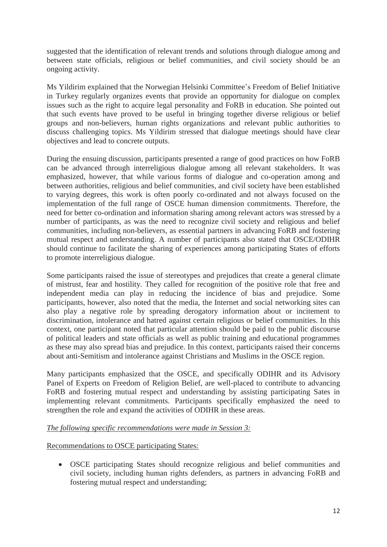suggested that the identification of relevant trends and solutions through dialogue among and between state officials, religious or belief communities, and civil society should be an ongoing activity.

Ms Yildirim explained that the Norwegian Helsinki Committee's Freedom of Belief Initiative in Turkey regularly organizes events that provide an opportunity for dialogue on complex issues such as the right to acquire legal personality and FoRB in education. She pointed out that such events have proved to be useful in bringing together diverse religious or belief groups and non-believers, human rights organizations and relevant public authorities to discuss challenging topics. Ms Yildirim stressed that dialogue meetings should have clear objectives and lead to concrete outputs.

During the ensuing discussion, participants presented a range of good practices on how FoRB can be advanced through interreligious dialogue among all relevant stakeholders. It was emphasized, however, that while various forms of dialogue and co-operation among and between authorities, religious and belief communities, and civil society have been established to varying degrees, this work is often poorly co-ordinated and not always focused on the implementation of the full range of OSCE human dimension commitments. Therefore, the need for better co-ordination and information sharing among relevant actors was stressed by a number of participants, as was the need to recognize civil society and religious and belief communities, including non-believers, as essential partners in advancing FoRB and fostering mutual respect and understanding. A number of participants also stated that OSCE/ODIHR should continue to facilitate the sharing of experiences among participating States of efforts to promote interreligious dialogue.

Some participants raised the issue of stereotypes and prejudices that create a general climate of mistrust, fear and hostility. They called for recognition of the positive role that free and independent media can play in reducing the incidence of bias and prejudice. Some participants, however, also noted that the media, the Internet and social networking sites can also play a negative role by spreading derogatory information about or incitement to discrimination, intolerance and hatred against certain religious or belief communities. In this context, one participant noted that particular attention should be paid to the public discourse of political leaders and state officials as well as public training and educational programmes as these may also spread bias and prejudice. In this context, participants raised their concerns about anti-Semitism and intolerance against Christians and Muslims in the OSCE region.

Many participants emphasized that the OSCE, and specifically ODIHR and its Advisory Panel of Experts on Freedom of Religion Belief, are well-placed to contribute to advancing FoRB and fostering mutual respect and understanding by assisting participating Sates in implementing relevant commitments. Participants specifically emphasized the need to strengthen the role and expand the activities of ODIHR in these areas.

#### *The following specific recommendations were made in Session 3:*

# Recommendations to OSCE participating States:

• OSCE participating States should recognize religious and belief communities and civil society, including human rights defenders, as partners in advancing FoRB and fostering mutual respect and understanding;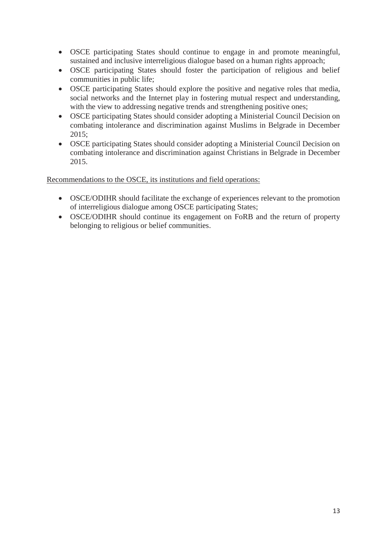- OSCE participating States should continue to engage in and promote meaningful, sustained and inclusive interreligious dialogue based on a human rights approach;
- OSCE participating States should foster the participation of religious and belief communities in public life;
- OSCE participating States should explore the positive and negative roles that media, social networks and the Internet play in fostering mutual respect and understanding, with the view to addressing negative trends and strengthening positive ones;
- OSCE participating States should consider adopting a Ministerial Council Decision on combating intolerance and discrimination against Muslims in Belgrade in December 2015;
- OSCE participating States should consider adopting a Ministerial Council Decision on combating intolerance and discrimination against Christians in Belgrade in December 2015.

Recommendations to the OSCE, its institutions and field operations:

- OSCE/ODIHR should facilitate the exchange of experiences relevant to the promotion of interreligious dialogue among OSCE participating States;
- OSCE/ODIHR should continue its engagement on FoRB and the return of property belonging to religious or belief communities.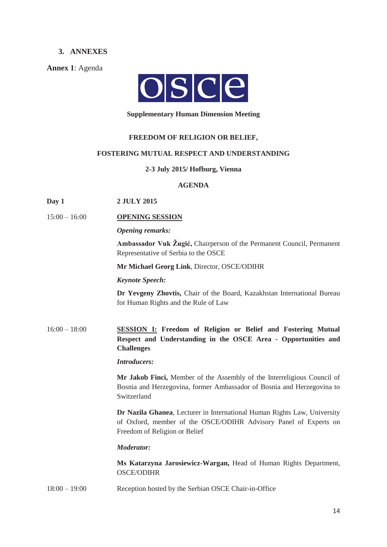#### **3. ANNEXES**

**Annex 1**: Agenda



#### **Supplementary Human Dimension Meeting**

#### **FREEDOM OF RELIGION OR BELIEF,**

#### **FOSTERING MUTUAL RESPECT AND UNDERSTANDING**

#### **2-3 July 2015/ Hofburg, Vienna**

#### **AGENDA**

#### **Day 1 2 JULY 2015**

#### 15:00 – 16:00 **OPENING SESSION**

*Opening remarks:*

**Ambassador Vuk Žugić,** Chairperson of the Permanent Council, Permanent Representative of Serbia to the OSCE

**Mr Michael Georg Link**, Director, OSCE/ODIHR

#### *Keynote Speech:*

**Dr Yevgeny Zhovtis,** Chair of the Board, Kazakhstan International Bureau for Human Rights and the Rule of Law

16:00 – 18:00 **SESSION I: Freedom of Religion or Belief and Fostering Mutual Respect and Understanding in the OSCE Area - Opportunities and Challenges** 

*Introducers:* 

**Mr Jakob Finci,** Member of the Assembly of the Interreligious Council of Bosnia and Herzegovina, former Ambassador of Bosnia and Herzegovina to Switzerland

**Dr Nazila Ghanea**, Lecturer in International Human Rights Law, University of Oxford, member of the OSCE/ODIHR Advisory Panel of Experts on Freedom of Religion or Belief

*Moderator:* 

**Ms Katarzyna Jarosiewicz-Wargan,** Head of Human Rights Department, OSCE/ODIHR

18:00 – 19:00 Reception hosted by the Serbian OSCE Chair-in-Office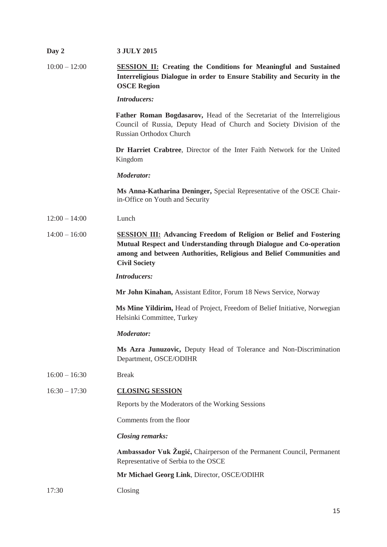| Day 2           | <b>3 JULY 2015</b>                                                                                                                                                                                                                             |
|-----------------|------------------------------------------------------------------------------------------------------------------------------------------------------------------------------------------------------------------------------------------------|
| $10:00 - 12:00$ | <b>SESSION II: Creating the Conditions for Meaningful and Sustained</b><br>Interreligious Dialogue in order to Ensure Stability and Security in the<br><b>OSCE Region</b>                                                                      |
|                 | <b>Introducers:</b>                                                                                                                                                                                                                            |
|                 | Father Roman Bogdasarov, Head of the Secretariat of the Interreligious<br>Council of Russia, Deputy Head of Church and Society Division of the<br><b>Russian Orthodox Church</b>                                                               |
|                 | Dr Harriet Crabtree, Director of the Inter Faith Network for the United<br>Kingdom                                                                                                                                                             |
|                 | <b>Moderator:</b>                                                                                                                                                                                                                              |
|                 | Ms Anna-Katharina Deninger, Special Representative of the OSCE Chair-<br>in-Office on Youth and Security                                                                                                                                       |
| $12:00 - 14:00$ | Lunch                                                                                                                                                                                                                                          |
| $14:00 - 16:00$ | <b>SESSION III:</b> Advancing Freedom of Religion or Belief and Fostering<br>Mutual Respect and Understanding through Dialogue and Co-operation<br>among and between Authorities, Religious and Belief Communities and<br><b>Civil Society</b> |
|                 | <b>Introducers:</b>                                                                                                                                                                                                                            |
|                 | Mr John Kinahan, Assistant Editor, Forum 18 News Service, Norway                                                                                                                                                                               |
|                 | Ms Mine Yildirim, Head of Project, Freedom of Belief Initiative, Norwegian<br>Helsinki Committee, Turkey                                                                                                                                       |
|                 | <b>Moderator:</b>                                                                                                                                                                                                                              |
|                 | Ms Azra Junuzovic, Deputy Head of Tolerance and Non-Discrimination<br>Department, OSCE/ODIHR                                                                                                                                                   |
| $16:00 - 16:30$ | <b>Break</b>                                                                                                                                                                                                                                   |
| $16:30 - 17:30$ | <b>CLOSING SESSION</b>                                                                                                                                                                                                                         |
|                 | Reports by the Moderators of the Working Sessions                                                                                                                                                                                              |
|                 | Comments from the floor                                                                                                                                                                                                                        |
|                 | <b>Closing remarks:</b>                                                                                                                                                                                                                        |
|                 | Ambassador Vuk Žugić, Chairperson of the Permanent Council, Permanent<br>Representative of Serbia to the OSCE                                                                                                                                  |
|                 | Mr Michael Georg Link, Director, OSCE/ODIHR                                                                                                                                                                                                    |
| 17:30           | Closing                                                                                                                                                                                                                                        |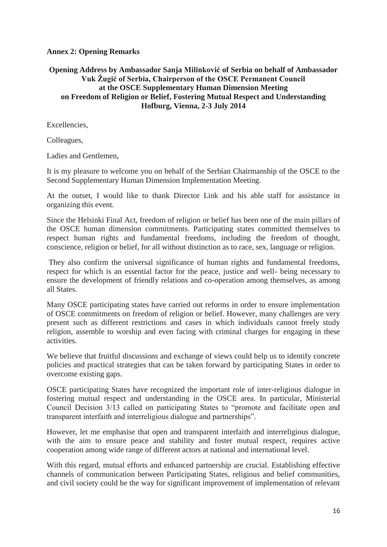# **Annex 2: Opening Remarks**

# **Opening Address by Ambassador Sanja Milinković of Serbia on behalf of Ambassador Vuk Žugić of Serbia, Chairperson of the OSCE Permanent Council at the OSCE Supplementary Human Dimension Meeting on Freedom of Religion or Belief, Fostering Mutual Respect and Understanding Hofburg, Vienna, 2-3 July 2014**

Excellencies,

Colleagues,

Ladies and Gentlemen,

It is my pleasure to welcome you on behalf of the Serbian Chairmanship of the OSCE to the Second Supplementary Human Dimension Implementation Meeting.

At the outset, I would like to thank Director Link and his able staff for assistance in organizing this event.

Since the Helsinki Final Act, freedom of religion or belief has been one of the main pillars of the OSCE human dimension commitments. Participating states committed themselves to respect human rights and fundamental freedoms, including the freedom of thought, conscience, religion or belief, for all without distinction as to race, sex, language or religion.

 They also confirm the universal significance of human rights and fundamental freedoms, respect for which is an essential factor for the peace, justice and well- being necessary to ensure the development of friendly relations and co-operation among themselves, as among all States.

Many OSCE participating states have carried out reforms in order to ensure implementation of OSCE commitments on freedom of religion or belief. However, many challenges are very present such as different restrictions and cases in which individuals cannot freely study religion, assemble to worship and even facing with criminal charges for engaging in these activities.

We believe that fruitful discussions and exchange of views could help us to identify concrete policies and practical strategies that can be taken forward by participating States in order to overcome existing gaps.

OSCE participating States have recognized the important role of inter-religious dialogue in fostering mutual respect and understanding in the OSCE area. In particular, Ministerial Council Decision 3/13 called on participating States to "promote and facilitate open and transparent interfaith and interreligious dialogue and partnerships".

However, let me emphasise that open and transparent interfaith and interreligious dialogue, with the aim to ensure peace and stability and foster mutual respect, requires active cooperation among wide range of different actors at national and international level.

With this regard, mutual efforts and enhanced partnership are crucial. Establishing effective channels of communication between Participating States, religious and belief communities, and civil society could be the way for significant improvement of implementation of relevant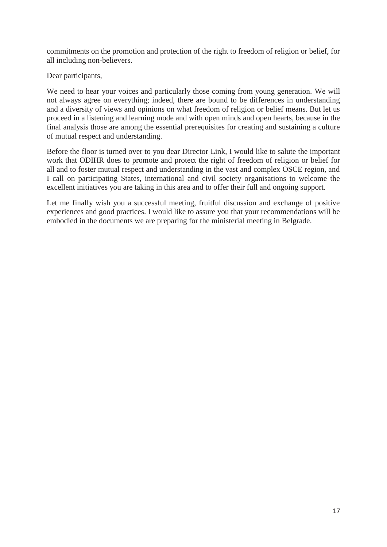commitments on the promotion and protection of the right to freedom of religion or belief, for all including non-believers.

Dear participants,

We need to hear your voices and particularly those coming from young generation. We will not always agree on everything; indeed, there are bound to be differences in understanding and a diversity of views and opinions on what freedom of religion or belief means. But let us proceed in a listening and learning mode and with open minds and open hearts, because in the final analysis those are among the essential prerequisites for creating and sustaining a culture of mutual respect and understanding.

Before the floor is turned over to you dear Director Link, I would like to salute the important work that ODIHR does to promote and protect the right of freedom of religion or belief for all and to foster mutual respect and understanding in the vast and complex OSCE region, and I call on participating States, international and civil society organisations to welcome the excellent initiatives you are taking in this area and to offer their full and ongoing support.

Let me finally wish you a successful meeting, fruitful discussion and exchange of positive experiences and good practices. I would like to assure you that your recommendations will be embodied in the documents we are preparing for the ministerial meeting in Belgrade.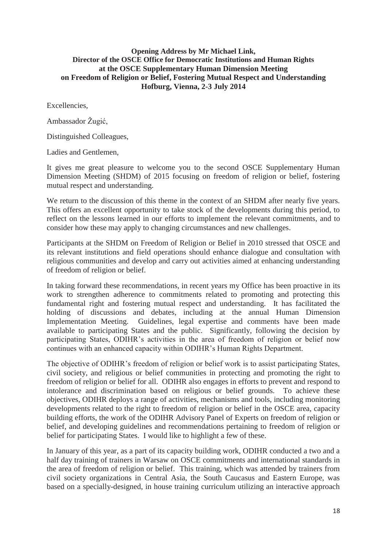#### **Opening Address by Mr Michael Link, Director of the OSCE Office for Democratic Institutions and Human Rights at the OSCE Supplementary Human Dimension Meeting on Freedom of Religion or Belief, Fostering Mutual Respect and Understanding Hofburg, Vienna, 2-3 July 2014**

Excellencies,

Ambassador Žugić,

Distinguished Colleagues,

Ladies and Gentlemen,

It gives me great pleasure to welcome you to the second OSCE Supplementary Human Dimension Meeting (SHDM) of 2015 focusing on freedom of religion or belief, fostering mutual respect and understanding.

We return to the discussion of this theme in the context of an SHDM after nearly five years. This offers an excellent opportunity to take stock of the developments during this period, to reflect on the lessons learned in our efforts to implement the relevant commitments, and to consider how these may apply to changing circumstances and new challenges.

Participants at the SHDM on Freedom of Religion or Belief in 2010 stressed that OSCE and its relevant institutions and field operations should enhance dialogue and consultation with religious communities and develop and carry out activities aimed at enhancing understanding of freedom of religion or belief.

In taking forward these recommendations, in recent years my Office has been proactive in its work to strengthen adherence to commitments related to promoting and protecting this fundamental right and fostering mutual respect and understanding. It has facilitated the holding of discussions and debates, including at the annual Human Dimension Implementation Meeting. Guidelines, legal expertise and comments have been made available to participating States and the public. Significantly, following the decision by participating States, ODIHR's activities in the area of freedom of religion or belief now continues with an enhanced capacity within ODIHR's Human Rights Department.

The objective of ODIHR's freedom of religion or belief work is to assist participating States, civil society, and religious or belief communities in protecting and promoting the right to freedom of religion or belief for all. ODIHR also engages in efforts to prevent and respond to intolerance and discrimination based on religious or belief grounds. To achieve these objectives, ODIHR deploys a range of activities, mechanisms and tools, including monitoring developments related to the right to freedom of religion or belief in the OSCE area, capacity building efforts, the work of the ODIHR Advisory Panel of Experts on freedom of religion or belief, and developing guidelines and recommendations pertaining to freedom of religion or belief for participating States. I would like to highlight a few of these.

In January of this year, as a part of its capacity building work, ODIHR conducted a two and a half day training of trainers in Warsaw on OSCE commitments and international standards in the area of freedom of religion or belief. This training, which was attended by trainers from civil society organizations in Central Asia, the South Caucasus and Eastern Europe, was based on a specially-designed, in house training curriculum utilizing an interactive approach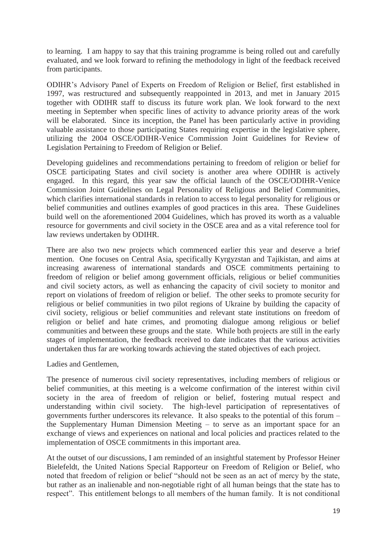to learning. I am happy to say that this training programme is being rolled out and carefully evaluated, and we look forward to refining the methodology in light of the feedback received from participants.

ODIHR's Advisory Panel of Experts on Freedom of Religion or Belief, first established in 1997, was restructured and subsequently reappointed in 2013, and met in January 2015 together with ODIHR staff to discuss its future work plan. We look forward to the next meeting in September when specific lines of activity to advance priority areas of the work will be elaborated. Since its inception, the Panel has been particularly active in providing valuable assistance to those participating States requiring expertise in the legislative sphere, utilizing the 2004 OSCE/ODIHR-Venice Commission Joint Guidelines for Review of Legislation Pertaining to Freedom of Religion or Belief.

Developing guidelines and recommendations pertaining to freedom of religion or belief for OSCE participating States and civil society is another area where ODIHR is actively engaged. In this regard, this year saw the official launch of the OSCE/ODIHR-Venice Commission Joint Guidelines on Legal Personality of Religious and Belief Communities, which clarifies international standards in relation to access to legal personality for religious or belief communities and outlines examples of good practices in this area. These Guidelines build well on the aforementioned 2004 Guidelines, which has proved its worth as a valuable resource for governments and civil society in the OSCE area and as a vital reference tool for law reviews undertaken by ODIHR.

There are also two new projects which commenced earlier this year and deserve a brief mention. One focuses on Central Asia, specifically Kyrgyzstan and Tajikistan, and aims at increasing awareness of international standards and OSCE commitments pertaining to freedom of religion or belief among government officials, religious or belief communities and civil society actors, as well as enhancing the capacity of civil society to monitor and report on violations of freedom of religion or belief. The other seeks to promote security for religious or belief communities in two pilot regions of Ukraine by building the capacity of civil society, religious or belief communities and relevant state institutions on freedom of religion or belief and hate crimes, and promoting dialogue among religious or belief communities and between these groups and the state. While both projects are still in the early stages of implementation, the feedback received to date indicates that the various activities undertaken thus far are working towards achieving the stated objectives of each project.

#### Ladies and Gentlemen,

The presence of numerous civil society representatives, including members of religious or belief communities, at this meeting is a welcome confirmation of the interest within civil society in the area of freedom of religion or belief, fostering mutual respect and understanding within civil society. The high-level participation of representatives of governments further underscores its relevance. It also speaks to the potential of this forum – the Supplementary Human Dimension Meeting – to serve as an important space for an exchange of views and experiences on national and local policies and practices related to the implementation of OSCE commitments in this important area.

At the outset of our discussions, I am reminded of an insightful statement by Professor Heiner Bielefeldt, the United Nations Special Rapporteur on Freedom of Religion or Belief, who noted that freedom of religion or belief "should not be seen as an act of mercy by the state, but rather as an inalienable and non-negotiable right of all human beings that the state has to respect". This entitlement belongs to all members of the human family. It is not conditional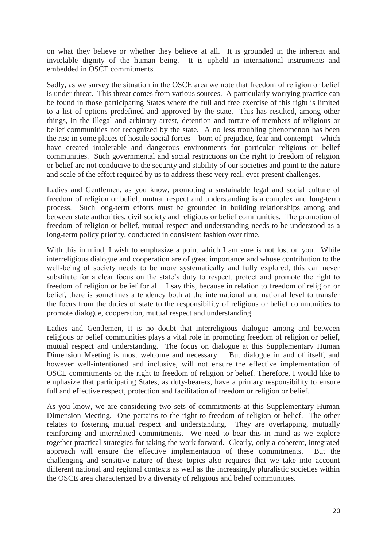on what they believe or whether they believe at all. It is grounded in the inherent and inviolable dignity of the human being. It is upheld in international instruments and embedded in OSCE commitments.

Sadly, as we survey the situation in the OSCE area we note that freedom of religion or belief is under threat. This threat comes from various sources. A particularly worrying practice can be found in those participating States where the full and free exercise of this right is limited to a list of options predefined and approved by the state. This has resulted, among other things, in the illegal and arbitrary arrest, detention and torture of members of religious or belief communities not recognized by the state. A no less troubling phenomenon has been the rise in some places of hostile social forces – born of prejudice, fear and contempt – which have created intolerable and dangerous environments for particular religious or belief communities. Such governmental and social restrictions on the right to freedom of religion or belief are not conducive to the security and stability of our societies and point to the nature and scale of the effort required by us to address these very real, ever present challenges.

Ladies and Gentlemen, as you know, promoting a sustainable legal and social culture of freedom of religion or belief, mutual respect and understanding is a complex and long-term process. Such long-term efforts must be grounded in building relationships among and between state authorities, civil society and religious or belief communities. The promotion of freedom of religion or belief, mutual respect and understanding needs to be understood as a long-term policy priority, conducted in consistent fashion over time.

With this in mind, I wish to emphasize a point which I am sure is not lost on you. While interreligious dialogue and cooperation are of great importance and whose contribution to the well-being of society needs to be more systematically and fully explored, this can never substitute for a clear focus on the state's duty to respect, protect and promote the right to freedom of religion or belief for all. I say this, because in relation to freedom of religion or belief, there is sometimes a tendency both at the international and national level to transfer the focus from the duties of state to the responsibility of religious or belief communities to promote dialogue, cooperation, mutual respect and understanding.

Ladies and Gentlemen, It is no doubt that interreligious dialogue among and between religious or belief communities plays a vital role in promoting freedom of religion or belief, mutual respect and understanding. The focus on dialogue at this Supplementary Human Dimension Meeting is most welcome and necessary. But dialogue in and of itself, and however well-intentioned and inclusive, will not ensure the effective implementation of OSCE commitments on the right to freedom of religion or belief. Therefore, I would like to emphasize that participating States, as duty-bearers, have a primary responsibility to ensure full and effective respect, protection and facilitation of freedom or religion or belief.

As you know, we are considering two sets of commitments at this Supplementary Human Dimension Meeting. One pertains to the right to freedom of religion or belief. The other relates to fostering mutual respect and understanding. They are overlapping, mutually reinforcing and interrelated commitments. We need to bear this in mind as we explore together practical strategies for taking the work forward. Clearly, only a coherent, integrated approach will ensure the effective implementation of these commitments. But the challenging and sensitive nature of these topics also requires that we take into account different national and regional contexts as well as the increasingly pluralistic societies within the OSCE area characterized by a diversity of religious and belief communities.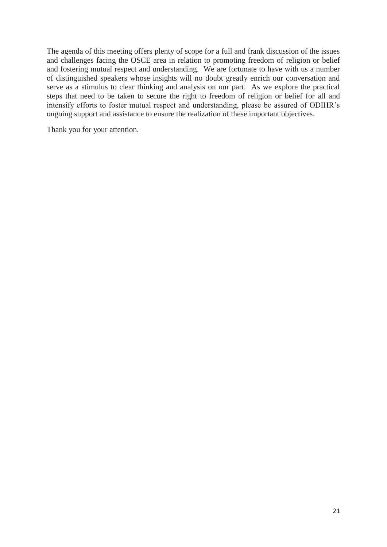The agenda of this meeting offers plenty of scope for a full and frank discussion of the issues and challenges facing the OSCE area in relation to promoting freedom of religion or belief and fostering mutual respect and understanding. We are fortunate to have with us a number of distinguished speakers whose insights will no doubt greatly enrich our conversation and serve as a stimulus to clear thinking and analysis on our part. As we explore the practical steps that need to be taken to secure the right to freedom of religion or belief for all and intensify efforts to foster mutual respect and understanding, please be assured of ODIHR's ongoing support and assistance to ensure the realization of these important objectives.

Thank you for your attention.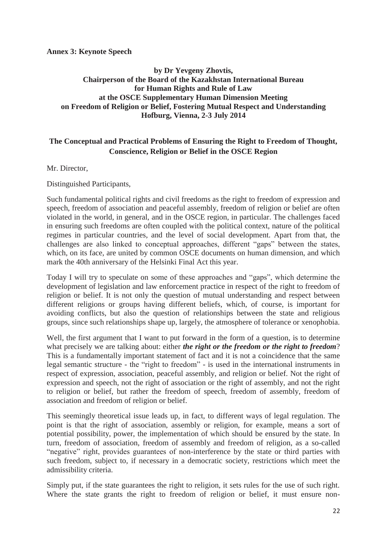#### **Annex 3: Keynote Speech**

# **by Dr Yevgeny Zhovtis, Chairperson of the Board of the Kazakhstan International Bureau for Human Rights and Rule of Law at the OSCE Supplementary Human Dimension Meeting on Freedom of Religion or Belief, Fostering Mutual Respect and Understanding Hofburg, Vienna, 2-3 July 2014**

# **The Conceptual and Practical Problems of Ensuring the Right to Freedom of Thought, Conscience, Religion or Belief in the OSCE Region**

Mr. Director,

Distinguished Participants,

Such fundamental political rights and civil freedoms as the right to freedom of expression and speech, freedom of association and peaceful assembly, freedom of religion or belief are often violated in the world, in general, and in the OSCE region, in particular. The challenges faced in ensuring such freedoms are often coupled with the political context, nature of the political regimes in particular countries, and the level of social development. Apart from that, the challenges are also linked to conceptual approaches, different "gaps" between the states, which, on its face, are united by common OSCE documents on human dimension, and which mark the 40th anniversary of the Helsinki Final Act this year.

Today I will try to speculate on some of these approaches and "gaps", which determine the development of legislation and law enforcement practice in respect of the right to freedom of religion or belief. It is not only the question of mutual understanding and respect between different religions or groups having different beliefs, which, of course, is important for avoiding conflicts, but also the question of relationships between the state and religious groups, since such relationships shape up, largely, the atmosphere of tolerance or xenophobia.

Well, the first argument that I want to put forward in the form of a question, is to determine what precisely we are talking about: either *the right or the freedom or the right to freedom*? This is a fundamentally important statement of fact and it is not a coincidence that the same legal semantic structure - the "right to freedom" - is used in the international instruments in respect of expression, association, peaceful assembly, and religion or belief. Not the right of expression and speech, not the right of association or the right of assembly, and not the right to religion or belief, but rather the freedom of speech, freedom of assembly, freedom of association and freedom of religion or belief.

This seemingly theoretical issue leads up, in fact, to different ways of legal regulation. The point is that the right of association, assembly or religion, for example, means a sort of potential possibility, power, the implementation of which should be ensured by the state. In turn, freedom of association, freedom of assembly and freedom of religion, as a so-called "negative" right, provides guarantees of non-interference by the state or third parties with such freedom, subject to, if necessary in a democratic society, restrictions which meet the admissibility criteria.

Simply put, if the state guarantees the right to religion, it sets rules for the use of such right. Where the state grants the right to freedom of religion or belief, it must ensure non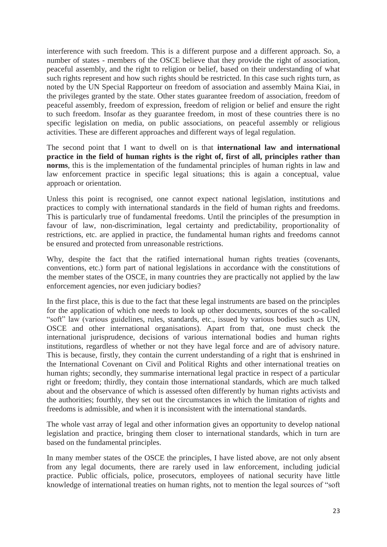interference with such freedom. This is a different purpose and a different approach. So, a number of states - members of the OSCE believe that they provide the right of association, peaceful assembly, and the right to religion or belief, based on their understanding of what such rights represent and how such rights should be restricted. In this case such rights turn, as noted by the UN Special Rapporteur on freedom of association and assembly Maina Kiai, in the privileges granted by the state. Other states guarantee freedom of association, freedom of peaceful assembly, freedom of expression, freedom of religion or belief and ensure the right to such freedom. Insofar as they guarantee freedom, in most of these countries there is no specific legislation on media, on public associations, on peaceful assembly or religious activities. These are different approaches and different ways of legal regulation.

The second point that I want to dwell on is that **international law and international practice in the field of human rights is the right of, first of all, principles rather than norms**, this is the implementation of the fundamental principles of human rights in law and law enforcement practice in specific legal situations; this is again a conceptual, value approach or orientation.

Unless this point is recognised, one cannot expect national legislation, institutions and practices to comply with international standards in the field of human rights and freedoms. This is particularly true of fundamental freedoms. Until the principles of the presumption in favour of law, non-discrimination, legal certainty and predictability, proportionality of restrictions, etc. are applied in practice, the fundamental human rights and freedoms cannot be ensured and protected from unreasonable restrictions.

Why, despite the fact that the ratified international human rights treaties (covenants, conventions, etc.) form part of national legislations in accordance with the constitutions of the member states of the OSCE, in many countries they are practically not applied by the law enforcement agencies, nor even judiciary bodies?

In the first place, this is due to the fact that these legal instruments are based on the principles for the application of which one needs to look up other documents, sources of the so-called "soft" law (various guidelines, rules, standards, etc., issued by various bodies such as UN, OSCE and other international organisations). Apart from that, one must check the international jurisprudence, decisions of various international bodies and human rights institutions, regardless of whether or not they have legal force and are of advisory nature. This is because, firstly, they contain the current understanding of a right that is enshrined in the International Covenant on Civil and Political Rights and other international treaties on human rights; secondly, they summarise international legal practice in respect of a particular right or freedom; thirdly, they contain those international standards, which are much talked about and the observance of which is assessed often differently by human rights activists and the authorities; fourthly, they set out the circumstances in which the limitation of rights and freedoms is admissible, and when it is inconsistent with the international standards.

The whole vast array of legal and other information gives an opportunity to develop national legislation and practice, bringing them closer to international standards, which in turn are based on the fundamental principles.

In many member states of the OSCE the principles, I have listed above, are not only absent from any legal documents, there are rarely used in law enforcement, including judicial practice. Public officials, police, prosecutors, employees of national security have little knowledge of international treaties on human rights, not to mention the legal sources of "soft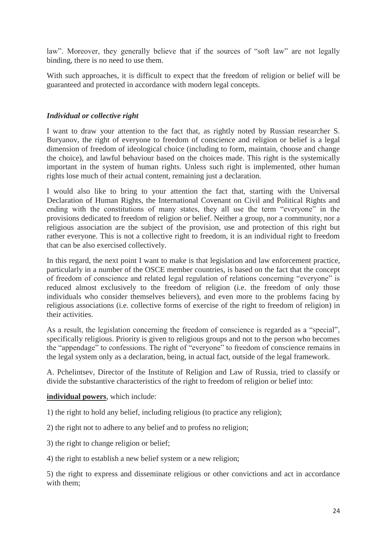law". Moreover, they generally believe that if the sources of "soft law" are not legally binding, there is no need to use them.

With such approaches, it is difficult to expect that the freedom of religion or belief will be guaranteed and protected in accordance with modern legal concepts.

# *Individual or collective right*

I want to draw your attention to the fact that, as rightly noted by Russian researcher S. Buryanov, the right of everyone to freedom of conscience and religion or belief is a legal dimension of freedom of ideological choice (including to form, maintain, choose and change the choice), and lawful behaviour based on the choices made. This right is the systemically important in the system of human rights. Unless such right is implemented, other human rights lose much of their actual content, remaining just a declaration.

I would also like to bring to your attention the fact that, starting with the Universal Declaration of Human Rights, the International Covenant on Civil and Political Rights and ending with the constitutions of many states, they all use the term "everyone" in the provisions dedicated to freedom of religion or belief. Neither a group, nor a community, nor a religious association are the subject of the provision, use and protection of this right but rather everyone. This is not a collective right to freedom, it is an individual right to freedom that can be also exercised collectively.

In this regard, the next point I want to make is that legislation and law enforcement practice, particularly in a number of the OSCE member countries, is based on the fact that the concept of freedom of conscience and related legal regulation of relations concerning "everyone" is reduced almost exclusively to the freedom of religion (i.e. the freedom of only those individuals who consider themselves believers), and even more to the problems facing by religious associations (i.e. collective forms of exercise of the right to freedom of religion) in their activities.

As a result, the legislation concerning the freedom of conscience is regarded as a "special", specifically religious. Priority is given to religious groups and not to the person who becomes the "appendage" to confessions. The right of "everyone" to freedom of conscience remains in the legal system only as a declaration, being, in actual fact, outside of the legal framework.

A. Pchelintsev, Director of the Institute of Religion and Law of Russia, tried to classify or divide the substantive characteristics of the right to freedom of religion or belief into:

#### **individual powers**, which include:

1) the right to hold any belief, including religious (to practice any religion);

2) the right not to adhere to any belief and to profess no religion;

3) the right to change religion or belief;

4) the right to establish a new belief system or a new religion;

5) the right to express and disseminate religious or other convictions and act in accordance with them;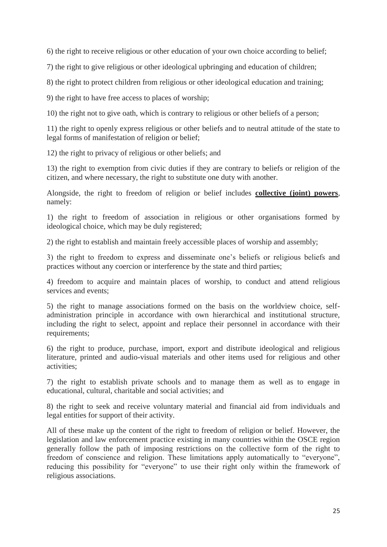6) the right to receive religious or other education of your own choice according to belief;

7) the right to give religious or other ideological upbringing and education of children;

8) the right to protect children from religious or other ideological education and training;

9) the right to have free access to places of worship;

10) the right not to give oath, which is contrary to religious or other beliefs of a person;

11) the right to openly express religious or other beliefs and to neutral attitude of the state to legal forms of manifestation of religion or belief;

12) the right to privacy of religious or other beliefs; and

13) the right to exemption from civic duties if they are contrary to beliefs or religion of the citizen, and where necessary, the right to substitute one duty with another.

Alongside, the right to freedom of religion or belief includes **collective (joint) powers**, namely:

1) the right to freedom of association in religious or other organisations formed by ideological choice, which may be duly registered;

2) the right to establish and maintain freely accessible places of worship and assembly;

3) the right to freedom to express and disseminate one's beliefs or religious beliefs and practices without any coercion or interference by the state and third parties;

4) freedom to acquire and maintain places of worship, to conduct and attend religious services and events;

5) the right to manage associations formed on the basis on the worldview choice, selfadministration principle in accordance with own hierarchical and institutional structure, including the right to select, appoint and replace their personnel in accordance with their requirements;

6) the right to produce, purchase, import, export and distribute ideological and religious literature, printed and audio-visual materials and other items used for religious and other activities;

7) the right to establish private schools and to manage them as well as to engage in educational, cultural, charitable and social activities; and

8) the right to seek and receive voluntary material and financial aid from individuals and legal entities for support of their activity.

All of these make up the content of the right to freedom of religion or belief. However, the legislation and law enforcement practice existing in many countries within the OSCE region generally follow the path of imposing restrictions on the collective form of the right to freedom of conscience and religion. These limitations apply automatically to "everyone", reducing this possibility for "everyone" to use their right only within the framework of religious associations.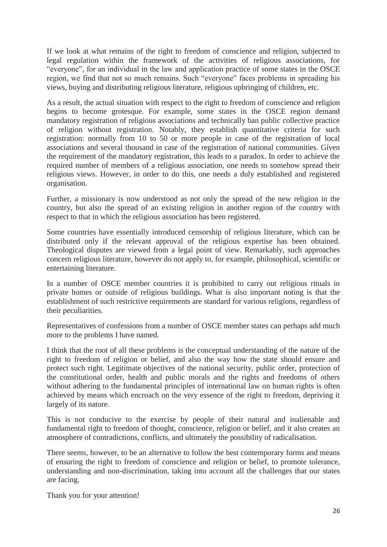If we look at what remains of the right to freedom of conscience and religion, subjected to legal regulation within the framework of the activities of religious associations, for "everyone", for an individual in the law and application practice of some states in the OSCE region, we find that not so much remains. Such "everyone" faces problems in spreading his views, buying and distributing religious literature, religious upbringing of children, etc.

As a result, the actual situation with respect to the right to freedom of conscience and religion begins to become grotesque. For example, some states in the OSCE region demand mandatory registration of religious associations and technically ban public collective practice of religion without registration. Notably, they establish quantitative criteria for such registration: normally from 10 to 50 or more people in case of the registration of local associations and several thousand in case of the registration of national communities. Given the requirement of the mandatory registration, this leads to a paradox. In order to achieve the required number of members of a religious association, one needs to somehow spread their religious views. However, in order to do this, one needs a duly established and registered organisation.

Further, a missionary is now understood as not only the spread of the new religion in the country, but also the spread of an existing religion in another region of the country with respect to that in which the religious association has been registered.

Some countries have essentially introduced censorship of religious literature, which can be distributed only if the relevant approval of the religious expertise has been obtained. Theological disputes are viewed from a legal point of view. Remarkably, such approaches concern religious literature, however do not apply to, for example, philosophical, scientific or entertaining literature.

In a number of OSCE member countries it is prohibited to carry out religious rituals in private homes or outside of religious buildings. What is also important noting is that the establishment of such restrictive requirements are standard for various religions, regardless of their peculiarities.

Representatives of confessions from a number of OSCE member states can perhaps add much more to the problems I have named.

I think that the root of all these problems is the conceptual understanding of the nature of the right to freedom of religion or belief, and also the way how the state should ensure and protect such right. Legitimate objectives of the national security, public order, protection of the constitutional order, health and public morals and the rights and freedoms of others without adhering to the fundamental principles of international law on human rights is often achieved by means which encroach on the very essence of the right to freedom, depriving it largely of its nature.

This is not conducive to the exercise by people of their natural and inalienable and fundamental right to freedom of thought, conscience, religion or belief, and it also creates an atmosphere of contradictions, conflicts, and ultimately the possibility of radicalisation.

There seems, however, to be an alternative to follow the best contemporary forms and means of ensuring the right to freedom of conscience and religion or belief, to promote tolerance, understanding and non-discrimination, taking into account all the challenges that our states are facing.

Thank you for your attention!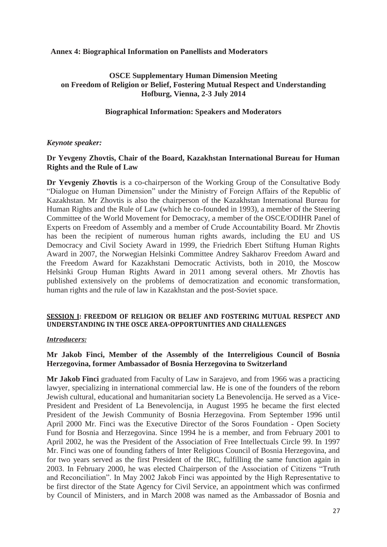#### **Annex 4: Biographical Information on Panellists and Moderators**

# **OSCE Supplementary Human Dimension Meeting on Freedom of Religion or Belief, Fostering Mutual Respect and Understanding Hofburg, Vienna, 2-3 July 2014**

# **Biographical Information: Speakers and Moderators**

### *Keynote speaker:*

#### **Dr Yevgeny Zhovtis, Chair of the Board, Kazakhstan International Bureau for Human Rights and the Rule of Law**

**Dr Yevgeniy Zhovtis** is a co-chairperson of the Working Group of the Consultative Body "Dialogue on Human Dimension" under the Ministry of Foreign Affairs of the Republic of Kazakhstan. Mr Zhovtis is also the chairperson of the Kazakhstan International Bureau for Human Rights and the Rule of Law (which he co-founded in 1993), a member of the Steering Committee of the World Movement for Democracy, a member of the OSCE/ODIHR Panel of Experts on Freedom of Assembly and a member of Crude Accountability Board. Mr Zhovtis has been the recipient of numerous human rights awards, including the EU and US Democracy and Civil Society Award in 1999, the Friedrich Ebert Stiftung Human Rights Award in 2007, the Norwegian Helsinki Committee Andrey Sakharov Freedom Award and the Freedom Award for Kazakhstani Democratic Activists, both in 2010, the Moscow Helsinki Group Human Rights Award in 2011 among several others. Mr Zhovtis has published extensively on the problems of democratization and economic transformation, human rights and the rule of law in Kazakhstan and the post-Soviet space.

### **SESSION I: FREEDOM OF RELIGION OR BELIEF AND FOSTERING MUTUAL RESPECT AND UNDERSTANDING IN THE OSCE AREA-OPPORTUNITIES AND CHALLENGES**

#### *Introducers:*

### **Mr Jakob Finci, Member of the Assembly of the Interreligious Council of Bosnia Herzegovina, former Ambassador of Bosnia Herzegovina to Switzerland**

**Mr Jakob Finci** graduated from Faculty of Law in Sarajevo, and from 1966 was a practicing lawyer, specializing in international commercial law. He is one of the founders of the reborn Jewish cultural, educational and humanitarian society La Benevolencija. He served as a Vice-President and President of La Benevolencija, in August 1995 he became the first elected President of the Jewish Community of Bosnia Herzegovina. From September 1996 until April 2000 Mr. Finci was the Executive Director of the Soros Foundation - Open Society Fund for Bosnia and Herzegovina. Since 1994 he is a member, and from February 2001 to April 2002, he was the President of the Association of Free Intellectuals Circle 99. In 1997 Mr. Finci was one of founding fathers of Inter Religious Council of Bosnia Herzegovina, and for two years served as the first President of the IRC, fulfilling the same function again in 2003. In February 2000, he was elected Chairperson of the Association of Citizens "Truth and Reconciliation". In May 2002 Jakob Finci was appointed by the High Representative to be first director of the State Agency for Civil Service, an appointment which was confirmed by Council of Ministers, and in March 2008 was named as the Ambassador of Bosnia and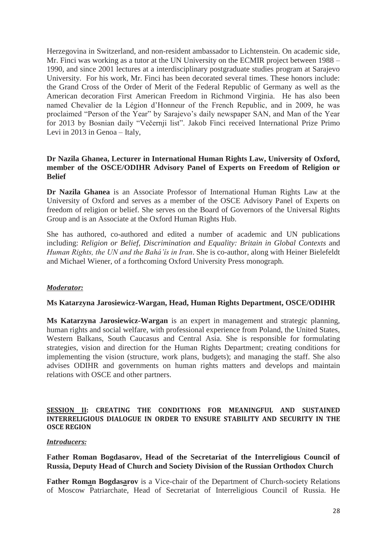Herzegovina in Switzerland, and non-resident ambassador to Lichtenstein. On academic side, Mr. Finci was working as a tutor at the UN University on the ECMIR project between 1988 – 1990, and since 2001 lectures at a interdisciplinary postgraduate studies program at Sarajevo University. For his work, Mr. Finci has been decorated several times. These honors include: the Grand Cross of the Order of Merit of the Federal Republic of Germany as well as the American decoration First American Freedom in Richmond Virginia. He has also been named Chevalier de la Légion d'Honneur of the French Republic, and in 2009, he was proclaimed "Person of the Year" by Sarajevo's daily newspaper SAN, and Man of the Year for 2013 by Bosnian daily "Večernji list". Jakob Finci received International Prize Primo Levi in 2013 in Genoa – Italy,

### **Dr Nazila Ghanea, Lecturer in International Human Rights Law, University of Oxford, member of the OSCE/ODIHR Advisory Panel of Experts on Freedom of Religion or Belief**

**Dr Nazila Ghanea** is an Associate Professor of International Human Rights Law at the University of Oxford and serves as a member of the OSCE Advisory Panel of Experts on freedom of religion or belief. She serves on the Board of Governors of the Universal Rights Group and is an Associate at the Oxford Human Rights Hub.

She has authored, co-authored and edited a number of academic and UN publications including: *Religion or Belief, Discrimination and Equality: Britain in Global Contexts* and *Human Rights, the UN and the Bahá'ís in Iran*. She is co-author, along with Heiner Bielefeldt and Michael Wiener, of a forthcoming Oxford University Press monograph.

#### *Moderator:*

#### **Ms Katarzyna Jarosiewicz-Wargan, Head, Human Rights Department, OSCE/ODIHR**

**Ms Katarzyna Jarosiewicz-Wargan** is an expert in management and strategic planning, human rights and social welfare, with professional experience from Poland, the United States, Western Balkans, South Caucasus and Central Asia. She is responsible for formulating strategies, vision and direction for the Human Rights Department; creating conditions for implementing the vision (structure, work plans, budgets); and managing the staff. She also advises ODIHR and governments on human rights matters and develops and maintain relations with OSCE and other partners.

#### **SESSION II: CREATING THE CONDITIONS FOR MEANINGFUL AND SUSTAINED INTERRELIGIOUS DIALOGUE IN ORDER TO ENSURE STABILITY AND SECURITY IN THE OSCE REGION**

#### *Introducers:*

**Father Roman Bogdasarov, Head of the Secretariat of the Interreligious Council of Russia, Deputy Head of Church and Society Division of the Russian Orthodox Church** 

**Father Roman Bogdasarov** is a Vice-chair of the Department of Church-society Relations of Moscow Patriarchate, Head of Secretariat of Interreligious Council of Russia. He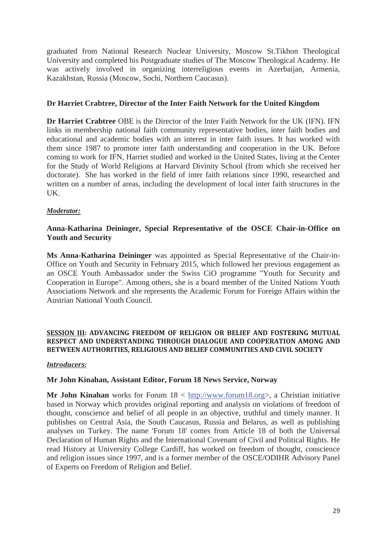graduated from National Research Nuclear University, Moscow St.Tikhon Theological University and completed his Postgraduate studies of The Moscow Theological Academy. He was actively involved in organizing interreligious events in Azerbaijan, Armenia, Kazakhstan, Russia (Moscow, Sochi, Northern Caucasus).

# **Dr Harriet Crabtree, Director of the Inter Faith Network for the United Kingdom**

**Dr Harriet Crabtree** OBE is the Director of the Inter Faith Network for the UK (IFN). IFN links in membership national faith community representative bodies, inter faith bodies and educational and academic bodies with an interest in inter faith issues. It has worked with them since 1987 to promote inter faith understanding and cooperation in the UK. Before coming to work for IFN, Harriet studied and worked in the United States, living at the Center for the Study of World Religions at Harvard Divinity School (from which she received her doctorate). She has worked in the field of inter faith relations since 1990, researched and written on a number of areas, including the development of local inter faith structures in the UK.

### *Moderator:*

# **Anna-Katharina Deininger, Special Representative of the OSCE Chair-in-Office on Youth and Security**

**Ms Anna-Katharina Deininger** was appointed as Special Representative of the Chair-in-Office on Youth and Security in February 2015, which followed her previous engagement as an OSCE Youth Ambassador under the Swiss CiO programme "Youth for Security and Cooperation in Europe". Among others, she is a board member of the United Nations Youth Associations Network and she represents the Academic Forum for Foreign Affairs within the Austrian National Youth Council.

#### **SESSION III: ADVANCING FREEDOM OF RELIGION OR BELIEF AND FOSTERING MUTUAL RESPECT AND UNDERSTANDING THROUGH DIALOGUE AND COOPERATION AMONG AND BETWEEN AUTHORITIES, RELIGIOUS AND BELIEF COMMUNITIES AND CIVIL SOCIETY**

#### *Introducers:*

#### **Mr John Kinahan, Assistant Editor, Forum 18 News Service, Norway**

**Mr John Kinahan** works for Forum 18 < http://www.forum18.org>, a Christian initiative based in Norway which provides original reporting and analysis on violations of freedom of thought, conscience and belief of all people in an objective, truthful and timely manner. It publishes on Central Asia, the South Caucasus, Russia and Belarus, as well as publishing analyses on Turkey. The name 'Forum 18' comes from Article 18 of both the Universal Declaration of Human Rights and the International Covenant of Civil and Political Rights. He read History at University College Cardiff, has worked on freedom of thought, conscience and religion issues since 1997, and is a former member of the OSCE/ODIHR Advisory Panel of Experts on Freedom of Religion and Belief.